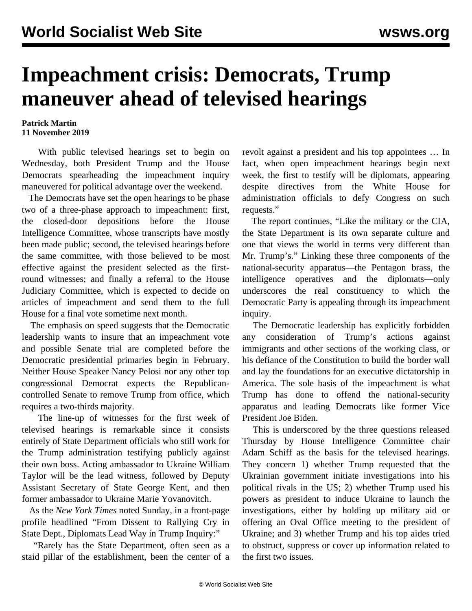## **Impeachment crisis: Democrats, Trump maneuver ahead of televised hearings**

## **Patrick Martin 11 November 2019**

 With public televised hearings set to begin on Wednesday, both President Trump and the House Democrats spearheading the impeachment inquiry maneuvered for political advantage over the weekend.

 The Democrats have set the open hearings to be phase two of a three-phase approach to impeachment: first, the closed-door depositions before the House Intelligence Committee, whose transcripts have mostly been made public; second, the televised hearings before the same committee, with those believed to be most effective against the president selected as the firstround witnesses; and finally a referral to the House Judiciary Committee, which is expected to decide on articles of impeachment and send them to the full House for a final vote sometime next month.

 The emphasis on speed suggests that the Democratic leadership wants to insure that an impeachment vote and possible Senate trial are completed before the Democratic presidential primaries begin in February. Neither House Speaker Nancy Pelosi nor any other top congressional Democrat expects the Republicancontrolled Senate to remove Trump from office, which requires a two-thirds majority.

 The line-up of witnesses for the first week of televised hearings is remarkable since it consists entirely of State Department officials who still work for the Trump administration testifying publicly against their own boss. Acting ambassador to Ukraine William Taylor will be the lead witness, followed by Deputy Assistant Secretary of State George Kent, and then former ambassador to Ukraine Marie Yovanovitch.

 As the *New York Times* noted Sunday, in a front-page profile headlined "From Dissent to Rallying Cry in State Dept., Diplomats Lead Way in Trump Inquiry:"

 "Rarely has the State Department, often seen as a staid pillar of the establishment, been the center of a revolt against a president and his top appointees … In fact, when open impeachment hearings begin next week, the first to testify will be diplomats, appearing despite directives from the White House for administration officials to defy Congress on such requests."

 The report continues, "Like the military or the CIA, the State Department is its own separate culture and one that views the world in terms very different than Mr. Trump's." Linking these three components of the national-security apparatus—the Pentagon brass, the intelligence operatives and the diplomats—only underscores the real constituency to which the Democratic Party is appealing through its impeachment inquiry.

 The Democratic leadership has explicitly forbidden any consideration of Trump's actions against immigrants and other sections of the working class, or his defiance of the Constitution to build the border wall and lay the foundations for an executive dictatorship in America. The sole basis of the impeachment is what Trump has done to offend the national-security apparatus and leading Democrats like former Vice President Joe Biden.

 This is underscored by the three questions released Thursday by House Intelligence Committee chair Adam Schiff as the basis for the televised hearings. They concern 1) whether Trump requested that the Ukrainian government initiate investigations into his political rivals in the US; 2) whether Trump used his powers as president to induce Ukraine to launch the investigations, either by holding up military aid or offering an Oval Office meeting to the president of Ukraine; and 3) whether Trump and his top aides tried to obstruct, suppress or cover up information related to the first two issues.